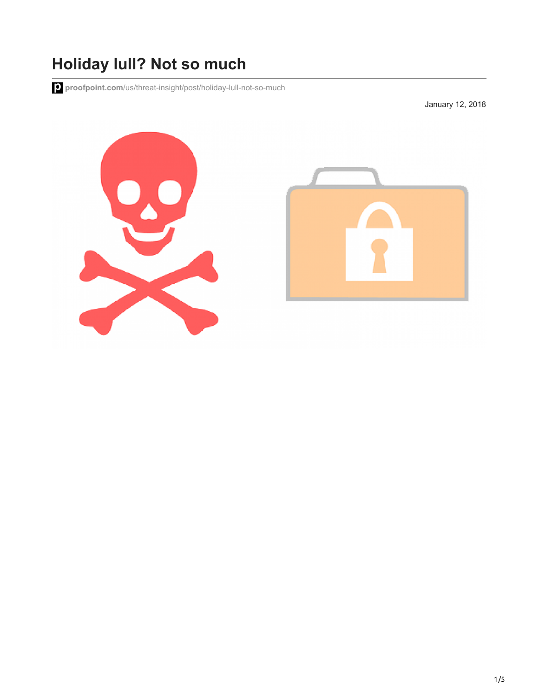## **Holiday lull? Not so much**

**proofpoint.com**[/us/threat-insight/post/holiday-lull-not-so-much](https://www.proofpoint.com/us/threat-insight/post/holiday-lull-not-so-much)

January 12, 2018

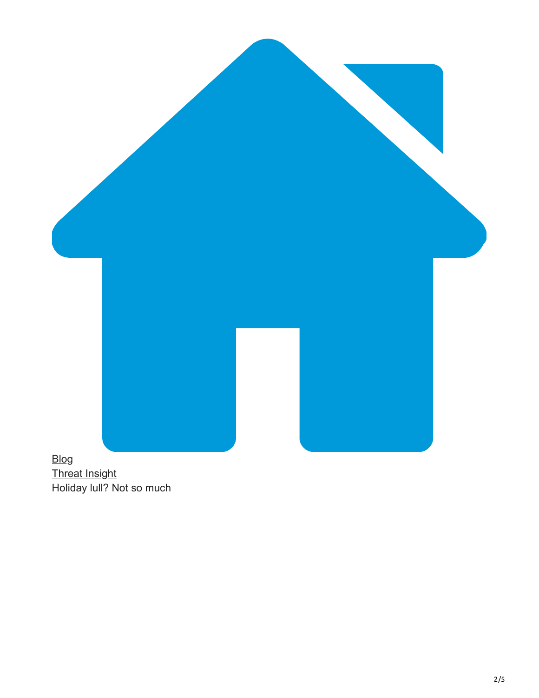

[Threat Insight](https://www.proofpoint.com/us/blog/threat-insight) Holiday lull? Not so much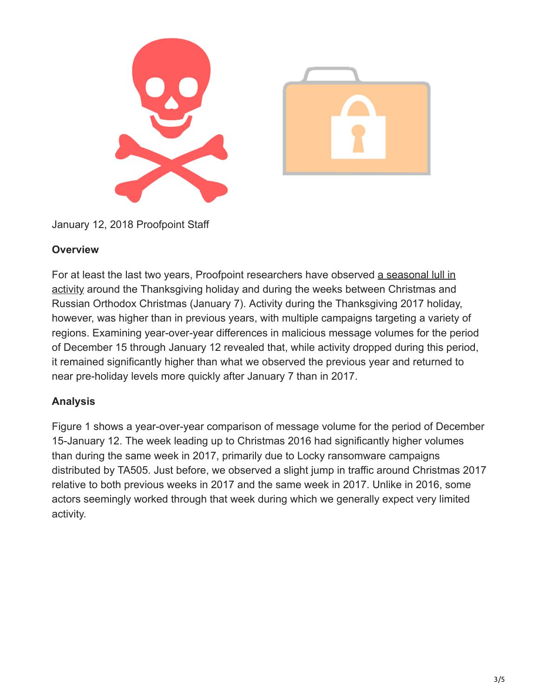

January 12, 2018 Proofpoint Staff

## **Overview**

[For at least the last two years, Proofpoint researchers have observed a seasonal lull in](https://www.proofpoint.com/us/threat-insight/post/An-Orthodox-Holiday-For-Some-Unorthodox-Actors) activity around the Thanksgiving holiday and during the weeks between Christmas and Russian Orthodox Christmas (January 7). Activity during the Thanksgiving 2017 holiday, however, was higher than in previous years, with multiple campaigns targeting a variety of regions. Examining year-over-year differences in malicious message volumes for the period of December 15 through January 12 revealed that, while activity dropped during this period, it remained significantly higher than what we observed the previous year and returned to near pre-holiday levels more quickly after January 7 than in 2017.

## **Analysis**

Figure 1 shows a year-over-year comparison of message volume for the period of December 15-January 12. The week leading up to Christmas 2016 had significantly higher volumes than during the same week in 2017, primarily due to Locky ransomware campaigns distributed by TA505. Just before, we observed a slight jump in traffic around Christmas 2017 relative to both previous weeks in 2017 and the same week in 2017. Unlike in 2016, some actors seemingly worked through that week during which we generally expect very limited activity.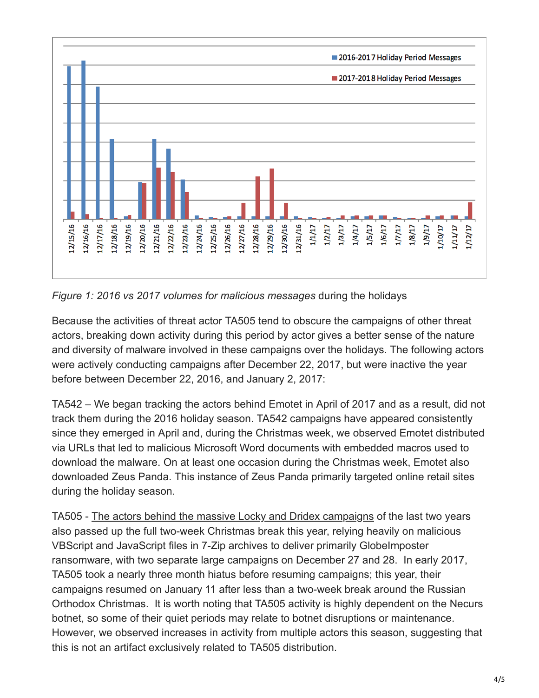

*Figure 1: 2016 vs 2017 volumes for malicious messages* during the holidays

Because the activities of threat actor TA505 tend to obscure the campaigns of other threat actors, breaking down activity during this period by actor gives a better sense of the nature and diversity of malware involved in these campaigns over the holidays. The following actors were actively conducting campaigns after December 22, 2017, but were inactive the year before between December 22, 2016, and January 2, 2017:

TA542 – We began tracking the actors behind Emotet in April of 2017 and as a result, did not track them during the 2016 holiday season. TA542 campaigns have appeared consistently since they emerged in April and, during the Christmas week, we observed Emotet distributed via URLs that led to malicious Microsoft Word documents with embedded macros used to download the malware. On at least one occasion during the Christmas week, Emotet also downloaded Zeus Panda. This instance of Zeus Panda primarily targeted online retail sites during the holiday season.

TA505 - [The actors behind the massive Locky and Dridex campaigns](https://www.proofpoint.com/us/threat-insight/post/threat-actor-profile-ta505-dridex-globeimposter) of the last two years also passed up the full two-week Christmas break this year, relying heavily on malicious VBScript and JavaScript files in 7-Zip archives to deliver primarily GlobeImposter ransomware, with two separate large campaigns on December 27 and 28. In early 2017, TA505 took a nearly three month hiatus before resuming campaigns; this year, their campaigns resumed on January 11 after less than a two-week break around the Russian Orthodox Christmas. It is worth noting that TA505 activity is highly dependent on the Necurs botnet, so some of their quiet periods may relate to botnet disruptions or maintenance. However, we observed increases in activity from multiple actors this season, suggesting that this is not an artifact exclusively related to TA505 distribution.